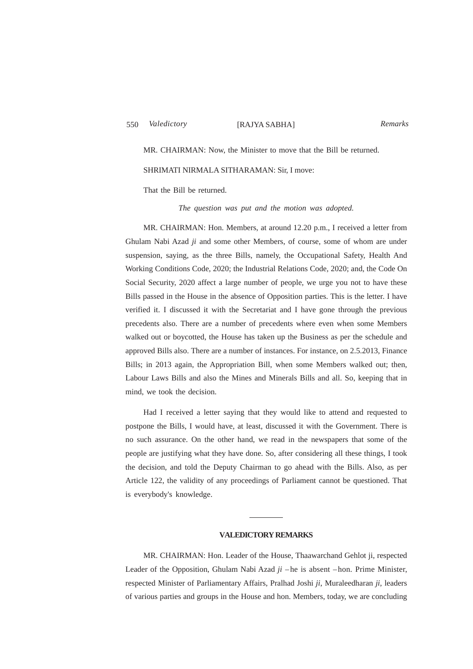MR. CHAIRMAN: Now, the Minister to move that the Bill be returned.

### SHRIMATI NIRMALA SITHARAMAN: Sir, I move:

That the Bill be returned.

*The question was put and the motion was adopted.*

MR. CHAIRMAN: Hon. Members, at around 12.20 p.m., I received a letter from Ghulam Nabi Azad *ji* and some other Members, of course, some of whom are under suspension, saying, as the three Bills, namely, the Occupational Safety, Health And Working Conditions Code, 2020; the Industrial Relations Code, 2020; and, the Code On Social Security, 2020 affect a large number of people, we urge you not to have these Bills passed in the House in the absence of Opposition parties. This is the letter. I have verified it. I discussed it with the Secretariat and I have gone through the previous precedents also. There are a number of precedents where even when some Members walked out or boycotted, the House has taken up the Business as per the schedule and approved Bills also. There are a number of instances. For instance, on 2.5.2013, Finance Bills; in 2013 again, the Appropriation Bill, when some Members walked out; then, Labour Laws Bills and also the Mines and Minerals Bills and all. So, keeping that in mind, we took the decision.

Had I received a letter saying that they would like to attend and requested to postpone the Bills, I would have, at least, discussed it with the Government. There is no such assurance. On the other hand, we read in the newspapers that some of the people are justifying what they have done. So, after considering all these things, I took the decision, and told the Deputy Chairman to go ahead with the Bills. Also, as per Article 122, the validity of any proceedings of Parliament cannot be questioned. That is everybody's knowledge.

# **VALEDICTORY REMARKS**

MR. CHAIRMAN: Hon. Leader of the House, Thaawarchand Gehlot ji, respected Leader of the Opposition, Ghulam Nabi Azad *ji* – he is absent – hon. Prime Minister, respected Minister of Parliamentary Affairs, Pralhad Joshi *ji*, Muraleedharan *ji*, leaders of various parties and groups in the House and hon. Members, today, we are concluding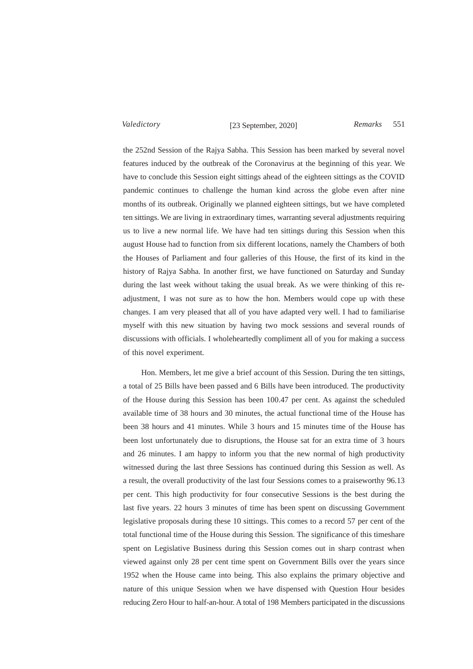Valedictory [23 September, 2020] Remarks 551

the 252nd Session of the Rajya Sabha. This Session has been marked by several novel features induced by the outbreak of the Coronavirus at the beginning of this year. We have to conclude this Session eight sittings ahead of the eighteen sittings as the COVID pandemic continues to challenge the human kind across the globe even after nine months of its outbreak. Originally we planned eighteen sittings, but we have completed ten sittings. We are living in extraordinary times, warranting several adjustments requiring us to live a new normal life. We have had ten sittings during this Session when this august House had to function from six different locations, namely the Chambers of both the Houses of Parliament and four galleries of this House, the first of its kind in the history of Rajya Sabha. In another first, we have functioned on Saturday and Sunday during the last week without taking the usual break. As we were thinking of this readjustment, I was not sure as to how the hon. Members would cope up with these changes. I am very pleased that all of you have adapted very well. I had to familiarise myself with this new situation by having two mock sessions and several rounds of discussions with officials. I wholeheartedly compliment all of you for making a success of this novel experiment.

Hon. Members, let me give a brief account of this Session. During the ten sittings, a total of 25 Bills have been passed and 6 Bills have been introduced. The productivity of the House during this Session has been 100.47 per cent. As against the scheduled available time of 38 hours and 30 minutes, the actual functional time of the House has been 38 hours and 41 minutes. While 3 hours and 15 minutes time of the House has been lost unfortunately due to disruptions, the House sat for an extra time of 3 hours and 26 minutes. I am happy to inform you that the new normal of high productivity witnessed during the last three Sessions has continued during this Session as well. As a result, the overall productivity of the last four Sessions comes to a praiseworthy 96.13 per cent. This high productivity for four consecutive Sessions is the best during the last five years. 22 hours 3 minutes of time has been spent on discussing Government legislative proposals during these 10 sittings. This comes to a record 57 per cent of the total functional time of the House during this Session. The significance of this timeshare spent on Legislative Business during this Session comes out in sharp contrast when viewed against only 28 per cent time spent on Government Bills over the years since 1952 when the House came into being. This also explains the primary objective and nature of this unique Session when we have dispensed with Question Hour besides reducing Zero Hour to half-an-hour. A total of 198 Members participated in the discussions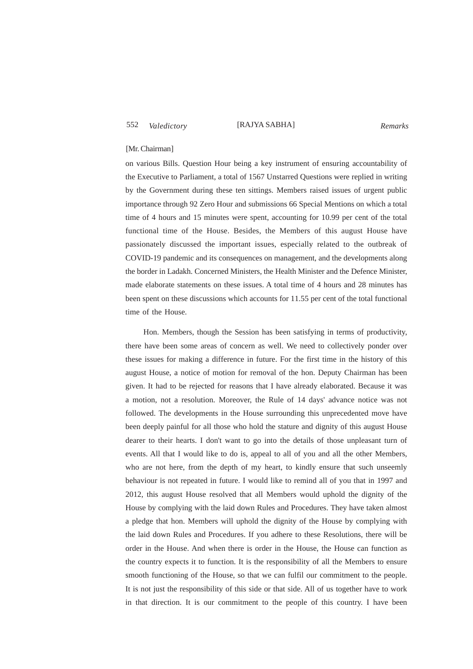552 [RAJYA SABHA] *Valedictory Remarks*

### [Mr. Chairman]

on various Bills. Question Hour being a key instrument of ensuring accountability of the Executive to Parliament, a total of 1567 Unstarred Questions were replied in writing by the Government during these ten sittings. Members raised issues of urgent public importance through 92 Zero Hour and submissions 66 Special Mentions on which a total time of 4 hours and 15 minutes were spent, accounting for 10.99 per cent of the total functional time of the House. Besides, the Members of this august House have passionately discussed the important issues, especially related to the outbreak of COVID-19 pandemic and its consequences on management, and the developments along the border in Ladakh. Concerned Ministers, the Health Minister and the Defence Minister, made elaborate statements on these issues. A total time of 4 hours and 28 minutes has been spent on these discussions which accounts for 11.55 per cent of the total functional time of the House.

Hon. Members, though the Session has been satisfying in terms of productivity, there have been some areas of concern as well. We need to collectively ponder over these issues for making a difference in future. For the first time in the history of this august House, a notice of motion for removal of the hon. Deputy Chairman has been given. It had to be rejected for reasons that I have already elaborated. Because it was a motion, not a resolution. Moreover, the Rule of 14 days' advance notice was not followed. The developments in the House surrounding this unprecedented move have been deeply painful for all those who hold the stature and dignity of this august House dearer to their hearts. I don't want to go into the details of those unpleasant turn of events. All that I would like to do is, appeal to all of you and all the other Members, who are not here, from the depth of my heart, to kindly ensure that such unseemly behaviour is not repeated in future. I would like to remind all of you that in 1997 and 2012, this august House resolved that all Members would uphold the dignity of the House by complying with the laid down Rules and Procedures. They have taken almost a pledge that hon. Members will uphold the dignity of the House by complying with the laid down Rules and Procedures. If you adhere to these Resolutions, there will be order in the House. And when there is order in the House, the House can function as the country expects it to function. It is the responsibility of all the Members to ensure smooth functioning of the House, so that we can fulfil our commitment to the people. It is not just the responsibility of this side or that side. All of us together have to work in that direction. It is our commitment to the people of this country. I have been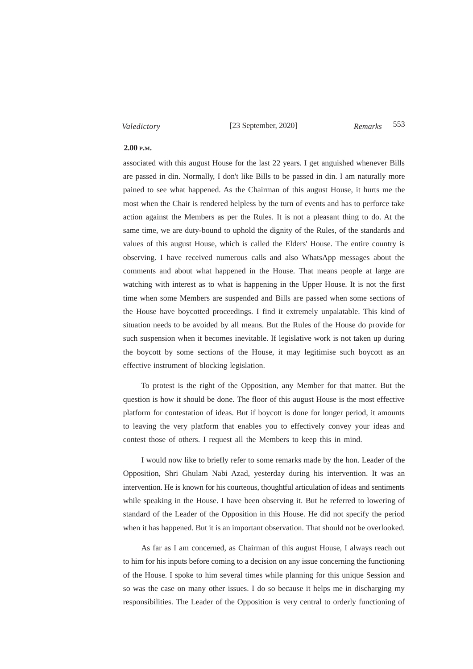[23 September, 2020] 553 *Valedictory Remarks*

## **2.00 P.M.**

associated with this august House for the last 22 years. I get anguished whenever Bills are passed in din. Normally, I don't like Bills to be passed in din. I am naturally more pained to see what happened. As the Chairman of this august House, it hurts me the most when the Chair is rendered helpless by the turn of events and has to perforce take action against the Members as per the Rules. It is not a pleasant thing to do. At the same time, we are duty-bound to uphold the dignity of the Rules, of the standards and values of this august House, which is called the Elders' House. The entire country is observing. I have received numerous calls and also WhatsApp messages about the comments and about what happened in the House. That means people at large are watching with interest as to what is happening in the Upper House. It is not the first time when some Members are suspended and Bills are passed when some sections of the House have boycotted proceedings. I find it extremely unpalatable. This kind of situation needs to be avoided by all means. But the Rules of the House do provide for such suspension when it becomes inevitable. If legislative work is not taken up during the boycott by some sections of the House, it may legitimise such boycott as an effective instrument of blocking legislation.

To protest is the right of the Opposition, any Member for that matter. But the question is how it should be done. The floor of this august House is the most effective platform for contestation of ideas. But if boycott is done for longer period, it amounts to leaving the very platform that enables you to effectively convey your ideas and contest those of others. I request all the Members to keep this in mind.

I would now like to briefly refer to some remarks made by the hon. Leader of the Opposition, Shri Ghulam Nabi Azad, yesterday during his intervention. It was an intervention. He is known for his courteous, thoughtful articulation of ideas and sentiments while speaking in the House. I have been observing it. But he referred to lowering of standard of the Leader of the Opposition in this House. He did not specify the period when it has happened. But it is an important observation. That should not be overlooked.

As far as I am concerned, as Chairman of this august House, I always reach out to him for his inputs before coming to a decision on any issue concerning the functioning of the House. I spoke to him several times while planning for this unique Session and so was the case on many other issues. I do so because it helps me in discharging my responsibilities. The Leader of the Opposition is very central to orderly functioning of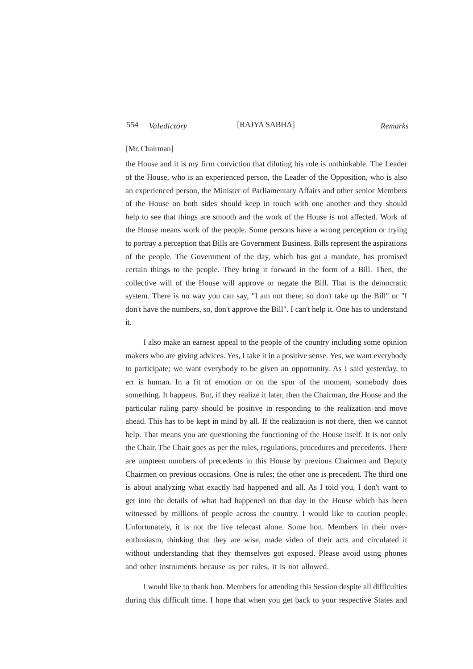# 554 [RAJYA SABHA] *Valedictory Remarks*

### [Mr. Chairman]

the House and it is my firm conviction that diluting his role is unthinkable. The Leader of the House, who is an experienced person, the Leader of the Opposition, who is also an experienced person, the Minister of Parliamentary Affairs and other senior Members of the House on both sides should keep in touch with one another and they should help to see that things are smooth and the work of the House is not affected. Work of the House means work of the people. Some persons have a wrong perception or trying to portray a perception that Bills are Government Business. Bills represent the aspirations of the people. The Government of the day, which has got a mandate, has promised certain things to the people. They bring it forward in the form of a Bill. Then, the collective will of the House will approve or negate the Bill. That is the democratic system. There is no way you can say, "I am not there; so don't take up the Bill" or "I don't have the numbers, so, don't approve the Bill". I can't help it. One has to understand it.

I also make an earnest appeal to the people of the country including some opinion makers who are giving advices. Yes, I take it in a positive sense. Yes, we want everybody to participate; we want everybody to be given an opportunity. As I said yesterday, to err is human. In a fit of emotion or on the spur of the moment, somebody does something. It happens. But, if they realize it later, then the Chairman, the House and the particular ruling party should be positive in responding to the realization and move ahead. This has to be kept in mind by all. If the realization is not there, then we cannot help. That means you are questioning the functioning of the House itself. It is not only the Chair. The Chair goes as per the rules, regulations, procedures and precedents. There are umpteen numbers of precedents in this House by previous Chairmen and Deputy Chairmen on previous occasions. One is rules; the other one is precedent. The third one is about analyzing what exactly had happened and all. As I told you, I don't want to get into the details of what had happened on that day in the House which has been witnessed by millions of people across the country. I would like to caution people. Unfortunately, it is not the live telecast alone. Some hon. Members in their overenthusiasm, thinking that they are wise, made video of their acts and circulated it without understanding that they themselves got exposed. Please avoid using phones and other instruments because as per rules, it is not allowed.

I would like to thank hon. Members for attending this Session despite all difficulties during this difficult time. I hope that when you get back to your respective States and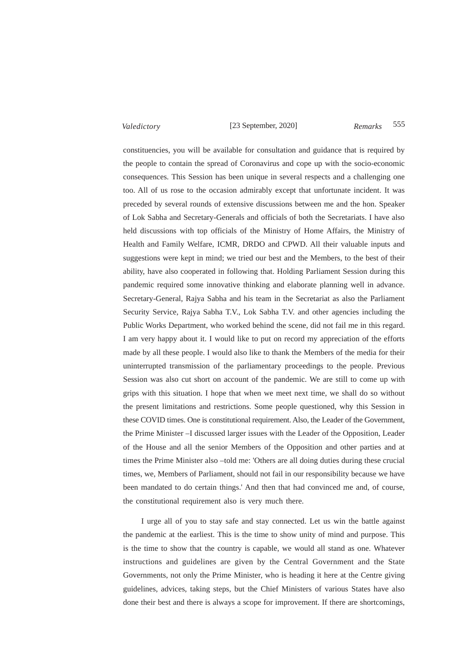# [23 September, 2020] 555 *Valedictory Remarks*

constituencies, you will be available for consultation and guidance that is required by the people to contain the spread of Coronavirus and cope up with the socio-economic consequences. This Session has been unique in several respects and a challenging one too. All of us rose to the occasion admirably except that unfortunate incident. It was preceded by several rounds of extensive discussions between me and the hon. Speaker of Lok Sabha and Secretary-Generals and officials of both the Secretariats. I have also held discussions with top officials of the Ministry of Home Affairs, the Ministry of Health and Family Welfare, ICMR, DRDO and CPWD. All their valuable inputs and suggestions were kept in mind; we tried our best and the Members, to the best of their ability, have also cooperated in following that. Holding Parliament Session during this pandemic required some innovative thinking and elaborate planning well in advance. Secretary-General, Rajya Sabha and his team in the Secretariat as also the Parliament Security Service, Rajya Sabha T.V., Lok Sabha T.V. and other agencies including the Public Works Department, who worked behind the scene, did not fail me in this regard. I am very happy about it. I would like to put on record my appreciation of the efforts made by all these people. I would also like to thank the Members of the media for their uninterrupted transmission of the parliamentary proceedings to the people. Previous Session was also cut short on account of the pandemic. We are still to come up with grips with this situation. I hope that when we meet next time, we shall do so without the present limitations and restrictions. Some people questioned, why this Session in these COVID times. One is constitutional requirement. Also, the Leader of the Government, the Prime Minister –I discussed larger issues with the Leader of the Opposition, Leader of the House and all the senior Members of the Opposition and other parties and at times the Prime Minister also – told me: 'Others are all doing duties during these crucial times, we, Members of Parliament, should not fail in our responsibility because we have been mandated to do certain things.' And then that had convinced me and, of course, the constitutional requirement also is very much there.

I urge all of you to stay safe and stay connected. Let us win the battle against the pandemic at the earliest. This is the time to show unity of mind and purpose. This is the time to show that the country is capable, we would all stand as one. Whatever instructions and guidelines are given by the Central Government and the State Governments, not only the Prime Minister, who is heading it here at the Centre giving guidelines, advices, taking steps, but the Chief Ministers of various States have also done their best and there is always a scope for improvement. If there are shortcomings,